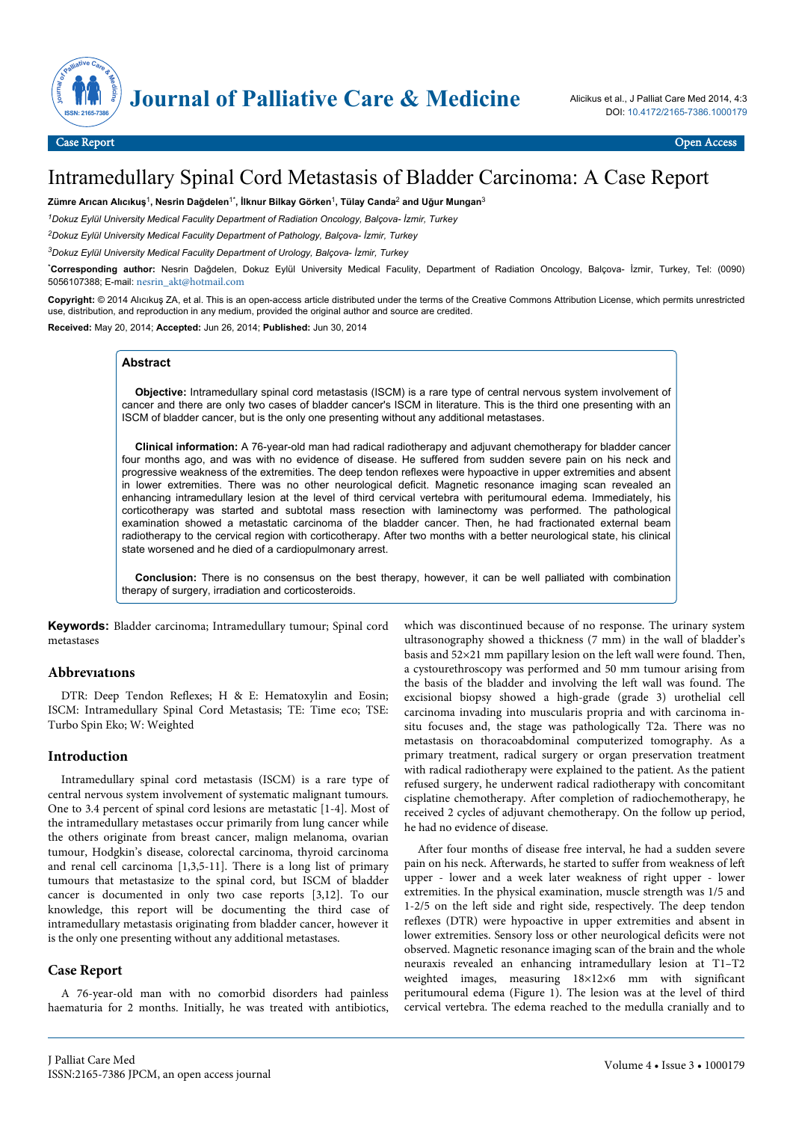

# Intramedullary Spinal Cord Metastasis of Bladder Carcinoma: A Case Report

**Zümre Arıcan Alıcıkuş**<sup>1</sup> **, Nesrin Dağdelen**1\***, İlknur Bilkay Görken**<sup>1</sup> **, Tülay Canda**<sup>2</sup>  **and Uğur Mungan**<sup>3</sup>

*<sup>1</sup>Dokuz Eylül University Medical Faculity Department of Radiation Oncology, Balçova- İzmir, Turkey*

*<sup>2</sup>Dokuz Eylül University Medical Faculity Department of Pathology, Balçova- İzmir, Turkey*

*<sup>3</sup>Dokuz Eylül University Medical Faculity Department of Urology, Balçova- İzmir, Turkey*

\***Corresponding author:** Nesrin Dağdelen, Dokuz Eylül University Medical Faculity, Department of Radiation Oncology, Balçova- İzmir, Turkey, Tel: (0090) 5056107388; E-mail: [nesrin\\_akt@hotmail.com](mailto:nesrin_akt@hotmail.com)

**Copyright:** © 2014 Alıcıkuş ZA, et al. This is an open-access article distributed under the terms of the Creative Commons Attribution License, which permits unrestricted use, distribution, and reproduction in any medium, provided the original author and source are credited.

**Received:** May 20, 2014; **Accepted:** Jun 26, 2014; **Published:** Jun 30, 2014

## **Abstract**

**Objective:** Intramedullary spinal cord metastasis (ISCM) is a rare type of central nervous system involvement of cancer and there are only two cases of bladder cancer's ISCM in literature. This is the third one presenting with an ISCM of bladder cancer, but is the only one presenting without any additional metastases.

**Clinical information:** A 76-year-old man had radical radiotherapy and adjuvant chemotherapy for bladder cancer four months ago, and was with no evidence of disease. He suffered from sudden severe pain on his neck and progressive weakness of the extremities. The deep tendon reflexes were hypoactive in upper extremities and absent in lower extremities. There was no other neurological deficit. Magnetic resonance imaging scan revealed an enhancing intramedullary lesion at the level of third cervical vertebra with peritumoural edema. Immediately, his corticotherapy was started and subtotal mass resection with laminectomy was performed. The pathological examination showed a metastatic carcinoma of the bladder cancer. Then, he had fractionated external beam radiotherapy to the cervical region with corticotherapy. After two months with a better neurological state, his clinical state worsened and he died of a cardiopulmonary arrest.

**Conclusion:** There is no consensus on the best therapy, however, it can be well palliated with combination therapy of surgery, irradiation and corticosteroids.

**Keywords:** Bladder carcinoma; Intramedullary tumour; Spinal cord metastases

## **Abbrevıatıons**

DTR: Deep Tendon Reflexes; H & E: Hematoxylin and Eosin; ISCM: Intramedullary Spinal Cord Metastasis; TE: Time eco; TSE: Turbo Spin Eko; W: Weighted

## **Introduction**

Intramedullary spinal cord metastasis (ISCM) is a rare type of central nervous system involvement of systematic malignant tumours. One to 3.4 percent of spinal cord lesions are metastatic [1-4]. Most of the intramedullary metastases occur primarily from lung cancer while the others originate from breast cancer, malign melanoma, ovarian tumour, Hodgkin's disease, colorectal carcinoma, thyroid carcinoma and renal cell carcinoma [1,3,5-11]. There is a long list of primary tumours that metastasize to the spinal cord, but ISCM of bladder cancer is documented in only two case reports [3,12]. To our knowledge, this report will be documenting the third case of intramedullary metastasis originating from bladder cancer, however it is the only one presenting without any additional metastases.

# **Case Report**

A 76-year-old man with no comorbid disorders had painless haematuria for 2 months. Initially, he was treated with antibiotics, which was discontinued because of no response. The urinary system ultrasonography showed a thickness (7 mm) in the wall of bladder's basis and 52×21 mm papillary lesion on the left wall were found. Then, a cystourethroscopy was performed and 50 mm tumour arising from the basis of the bladder and involving the left wall was found. The excisional biopsy showed a high-grade (grade 3) urothelial cell carcinoma invading into muscularis propria and with carcinoma insitu focuses and, the stage was pathologically T2a. There was no metastasis on thoracoabdominal computerized tomography. As a primary treatment, radical surgery or organ preservation treatment with radical radiotherapy were explained to the patient. As the patient refused surgery, he underwent radical radiotherapy with concomitant cisplatine chemotherapy. After completion of radiochemotherapy, he received 2 cycles of adjuvant chemotherapy. On the follow up period, he had no evidence of disease.

After four months of disease free interval, he had a sudden severe pain on his neck. Afterwards, he started to suffer from weakness of left upper - lower and a week later weakness of right upper - lower extremities. In the physical examination, muscle strength was 1/5 and 1-2/5 on the left side and right side, respectively. The deep tendon reflexes (DTR) were hypoactive in upper extremities and absent in lower extremities. Sensory loss or other neurological deficits were not observed. Magnetic resonance imaging scan of the brain and the whole neuraxis revealed an enhancing intramedullary lesion at T1–T2 weighted images, measuring 18×12×6 mm with significant peritumoural edema (Figure 1). The lesion was at the level of third cervical vertebra. The edema reached to the medulla cranially and to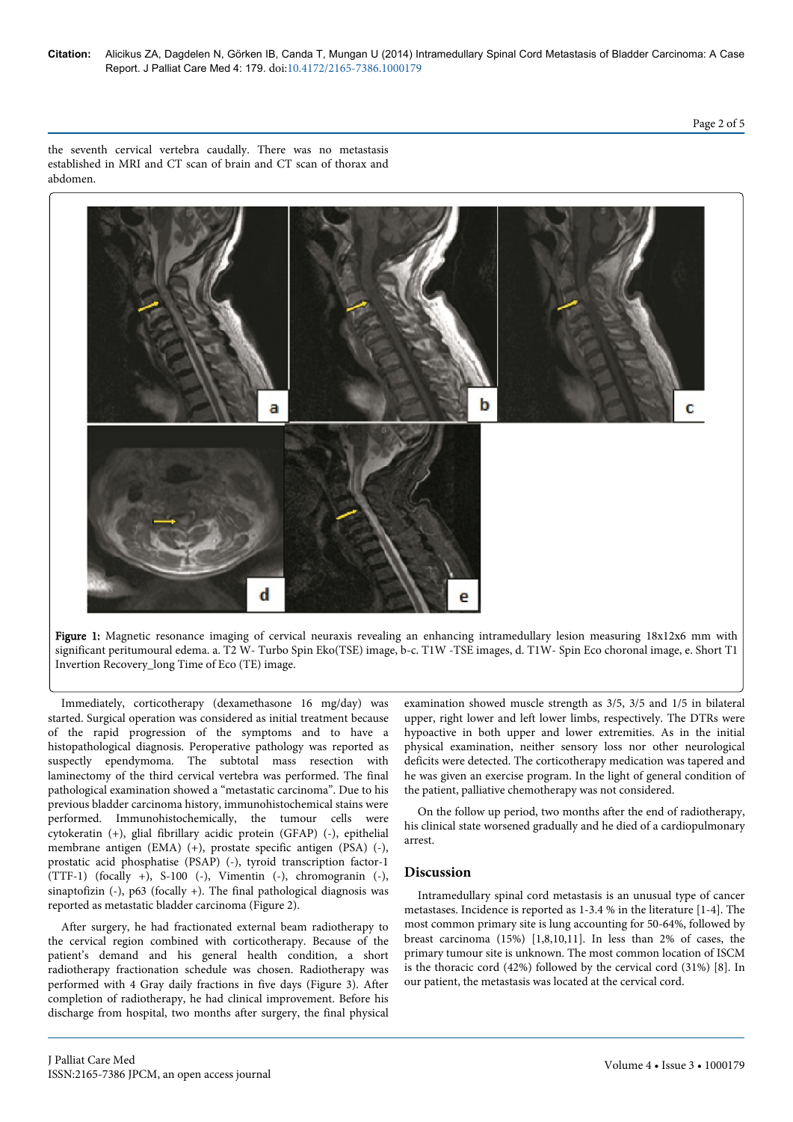Page 2 of 5

the seventh cervical vertebra caudally. There was no metastasis established in MRI and CT scan of brain and CT scan of thorax and abdomen.



Figure 1: Magnetic resonance imaging of cervical neuraxis revealing an enhancing intramedullary lesion measuring 18x12x6 mm with significant peritumoural edema. a. T2 W- Turbo Spin Eko(TSE) image, b-c. T1W -TSE images, d. T1W- Spin Eco choronal image, e. Short T1 Invertion Recovery\_long Time of Eco (TE) image.

Immediately, corticotherapy (dexamethasone 16 mg/day) was started. Surgical operation was considered as initial treatment because of the rapid progression of the symptoms and to have a histopathological diagnosis. Peroperative pathology was reported as suspectly ependymoma. The subtotal mass resection with laminectomy of the third cervical vertebra was performed. The final pathological examination showed a "metastatic carcinoma". Due to his previous bladder carcinoma history, immunohistochemical stains were performed. Immunohistochemically, the tumour cells were cytokeratin (+), glial fibrillary acidic protein (GFAP) (-), epithelial membrane antigen (EMA) (+), prostate specific antigen (PSA) (-), prostatic acid phosphatise (PSAP) (-), tyroid transcription factor-1 (TTF-1) (focally +), S-100 (-), Vimentin (-), chromogranin (-), sinaptofizin (-), p63 (focally +). The final pathological diagnosis was reported as metastatic bladder carcinoma (Figure 2).

After surgery, he had fractionated external beam radiotherapy to the cervical region combined with corticotherapy. Because of the patient's demand and his general health condition, a short radiotherapy fractionation schedule was chosen. Radiotherapy was performed with 4 Gray daily fractions in five days (Figure 3). After completion of radiotherapy, he had clinical improvement. Before his discharge from hospital, two months after surgery, the final physical

examination showed muscle strength as 3/5, 3/5 and 1/5 in bilateral upper, right lower and left lower limbs, respectively. The DTRs were hypoactive in both upper and lower extremities. As in the initial physical examination, neither sensory loss nor other neurological deficits were detected. The corticotherapy medication was tapered and he was given an exercise program. In the light of general condition of the patient, palliative chemotherapy was not considered.

On the follow up period, two months after the end of radiotherapy, his clinical state worsened gradually and he died of a cardiopulmonary arrest.

# **Discussion**

Intramedullary spinal cord metastasis is an unusual type of cancer metastases. Incidence is reported as 1-3.4 % in the literature [1-4]. The most common primary site is lung accounting for 50-64%, followed by breast carcinoma (15%) [1,8,10,11]. In less than 2% of cases, the primary tumour site is unknown. The most common location of ISCM is the thoracic cord (42%) followed by the cervical cord (31%) [8]. In our patient, the metastasis was located at the cervical cord.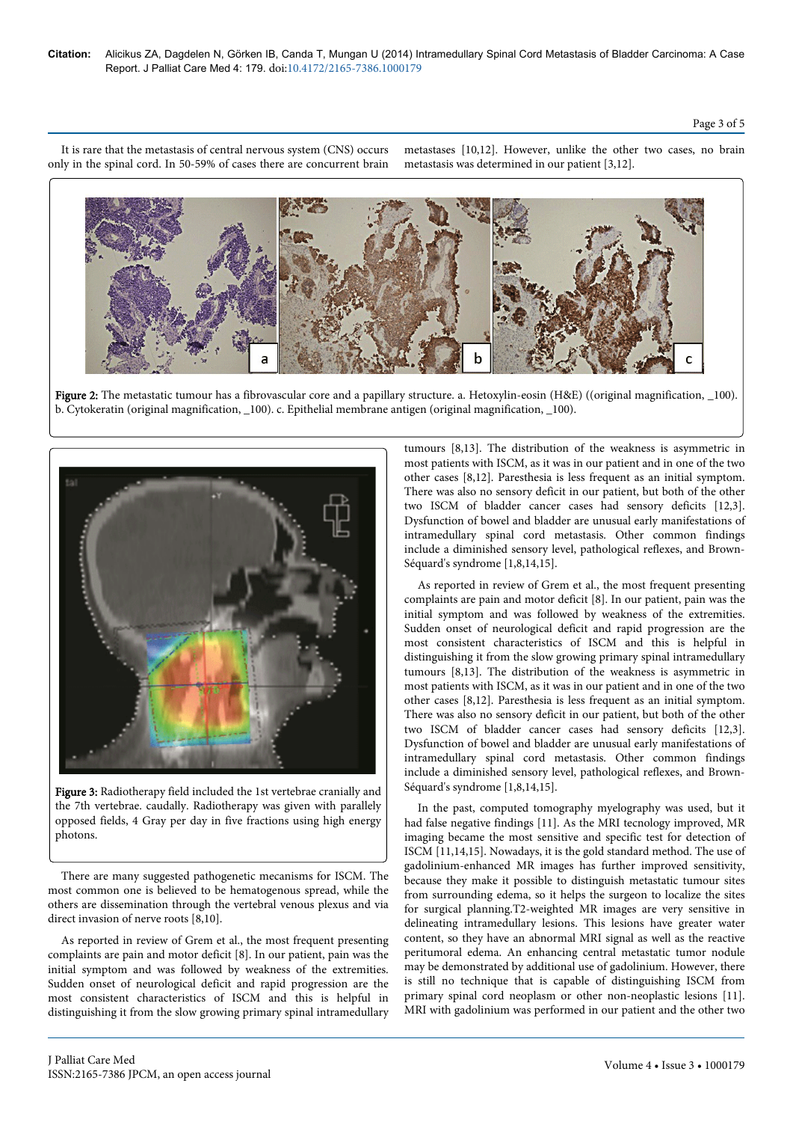It is rare that the metastasis of central nervous system (CNS) occurs only in the spinal cord. In 50-59% of cases there are concurrent brain metastases [10,12]. However, unlike the other two cases, no brain metastasis was determined in our patient [3,12].



Figure 2: The metastatic tumour has a fibrovascular core and a papillary structure. a. Hetoxylin-eosin (H&E) ((original magnification, \_100). b. Cytokeratin (original magnification, \_100). c. Epithelial membrane antigen (original magnification, \_100).



Figure 3: Radiotherapy field included the 1st vertebrae cranially and the 7th vertebrae. caudally. Radiotherapy was given with parallely opposed fields, 4 Gray per day in five fractions using high energy photons.

There are many suggested pathogenetic mecanisms for ISCM. The most common one is believed to be hematogenous spread, while the others are dissemination through the vertebral venous plexus and via direct invasion of nerve roots [8,10].

As reported in review of Grem et al., the most frequent presenting complaints are pain and motor deficit [8]. In our patient, pain was the initial symptom and was followed by weakness of the extremities. Sudden onset of neurological deficit and rapid progression are the most consistent characteristics of ISCM and this is helpful in distinguishing it from the slow growing primary spinal intramedullary tumours [8,13]. The distribution of the weakness is asymmetric in most patients with ISCM, as it was in our patient and in one of the two other cases [8,12]. Paresthesia is less frequent as an initial symptom. There was also no sensory deficit in our patient, but both of the other two ISCM of bladder cancer cases had sensory deficits [12,3]. Dysfunction of bowel and bladder are unusual early manifestations of intramedullary spinal cord metastasis. Other common findings include a diminished sensory level, pathological reflexes, and Brown-Séquard's syndrome [1,8,14,15].

As reported in review of Grem et al., the most frequent presenting complaints are pain and motor deficit [8]. In our patient, pain was the initial symptom and was followed by weakness of the extremities. Sudden onset of neurological deficit and rapid progression are the most consistent characteristics of ISCM and this is helpful in distinguishing it from the slow growing primary spinal intramedullary tumours [8,13]. The distribution of the weakness is asymmetric in most patients with ISCM, as it was in our patient and in one of the two other cases [8,12]. Paresthesia is less frequent as an initial symptom. There was also no sensory deficit in our patient, but both of the other two ISCM of bladder cancer cases had sensory deficits [12,3]. Dysfunction of bowel and bladder are unusual early manifestations of intramedullary spinal cord metastasis. Other common findings include a diminished sensory level, pathological reflexes, and Brown-Séquard's syndrome [1,8,14,15].

In the past, computed tomography myelography was used, but it had false negative findings [11]. As the MRI tecnology improved, MR imaging became the most sensitive and specific test for detection of ISCM [11,14,15]. Nowadays, it is the gold standard method. The use of gadolinium-enhanced MR images has further improved sensitivity, because they make it possible to distinguish metastatic tumour sites from surrounding edema, so it helps the surgeon to localize the sites for surgical planning.T2-weighted MR images are very sensitive in delineating intramedullary lesions. This lesions have greater water content, so they have an abnormal MRI signal as well as the reactive peritumoral edema. An enhancing central metastatic tumor nodule may be demonstrated by additional use of gadolinium. However, there is still no technique that is capable of distinguishing ISCM from primary spinal cord neoplasm or other non-neoplastic lesions [11]. MRI with gadolinium was performed in our patient and the other two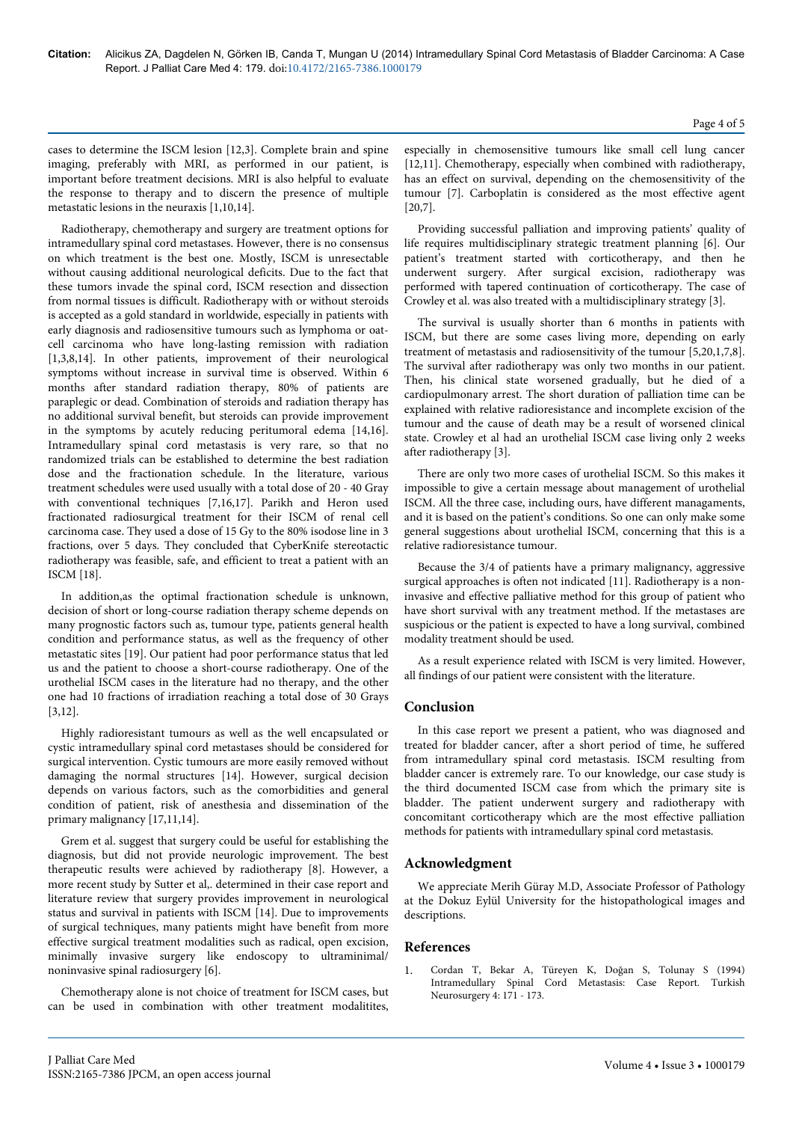# Page 4 of 5

cases to determine the ISCM lesion [12,3]. Complete brain and spine imaging, preferably with MRI, as performed in our patient, is important before treatment decisions. MRI is also helpful to evaluate the response to therapy and to discern the presence of multiple metastatic lesions in the neuraxis [1,10,14].

Radiotherapy, chemotherapy and surgery are treatment options for intramedullary spinal cord metastases. However, there is no consensus on which treatment is the best one. Mostly, ISCM is unresectable without causing additional neurological deficits. Due to the fact that these tumors invade the spinal cord, ISCM resection and dissection from normal tissues is difficult. Radiotherapy with or without steroids is accepted as a gold standard in worldwide, especially in patients with early diagnosis and radiosensitive tumours such as lymphoma or oatcell carcinoma who have long-lasting remission with radiation [1,3,8,14]. In other patients, improvement of their neurological symptoms without increase in survival time is observed. Within 6 months after standard radiation therapy, 80% of patients are paraplegic or dead. Combination of steroids and radiation therapy has no additional survival benefit, but steroids can provide improvement in the symptoms by acutely reducing peritumoral edema [14,16]. Intramedullary spinal cord metastasis is very rare, so that no randomized trials can be established to determine the best radiation dose and the fractionation schedule. In the literature, various treatment schedules were used usually with a total dose of 20 - 40 Gray with conventional techniques [7,16,17]. Parikh and Heron used fractionated radiosurgical treatment for their ISCM of renal cell carcinoma case. They used a dose of 15 Gy to the 80% isodose line in 3 fractions, over 5 days. They concluded that CyberKnife stereotactic radiotherapy was feasible, safe, and efficient to treat a patient with an ISCM [18].

In addition,as the optimal fractionation schedule is unknown, decision of short or long-course radiation therapy scheme depends on many prognostic factors such as, tumour type, patients general health condition and performance status, as well as the frequency of other metastatic sites [19]. Our patient had poor performance status that led us and the patient to choose a short-course radiotherapy. One of the urothelial ISCM cases in the literature had no therapy, and the other one had 10 fractions of irradiation reaching a total dose of 30 Grays [3,12].

Highly radioresistant tumours as well as the well encapsulated or cystic intramedullary spinal cord metastases should be considered for surgical intervention. Cystic tumours are more easily removed without damaging the normal structures [14]. However, surgical decision depends on various factors, such as the comorbidities and general condition of patient, risk of anesthesia and dissemination of the primary malignancy [17,11,14].

Grem et al. suggest that surgery could be useful for establishing the diagnosis, but did not provide neurologic improvement. The best therapeutic results were achieved by radiotherapy [8]. However, a more recent study by Sutter et al,. determined in their case report and literature review that surgery provides improvement in neurological status and survival in patients with ISCM [14]. Due to improvements of surgical techniques, many patients might have benefit from more effective surgical treatment modalities such as radical, open excision, minimally invasive surgery like endoscopy to ultraminimal/ noninvasive spinal radiosurgery [6].

Chemotherapy alone is not choice of treatment for ISCM cases, but can be used in combination with other treatment modalitites,

especially in chemosensitive tumours like small cell lung cancer [12,11]. Chemotherapy, especially when combined with radiotherapy, has an effect on survival, depending on the chemosensitivity of the tumour [7]. Carboplatin is considered as the most effective agent [20,7].

Providing successful palliation and improving patients' quality of life requires multidisciplinary strategic treatment planning [6]. Our patient's treatment started with corticotherapy, and then he underwent surgery. After surgical excision, radiotherapy was performed with tapered continuation of corticotherapy. The case of Crowley et al. was also treated with a multidisciplinary strategy [3].

The survival is usually shorter than 6 months in patients with ISCM, but there are some cases living more, depending on early treatment of metastasis and radiosensitivity of the tumour [5,20,1,7,8]. The survival after radiotherapy was only two months in our patient. Then, his clinical state worsened gradually, but he died of a cardiopulmonary arrest. The short duration of palliation time can be explained with relative radioresistance and incomplete excision of the tumour and the cause of death may be a result of worsened clinical state. Crowley et al had an urothelial ISCM case living only 2 weeks after radiotherapy [3].

There are only two more cases of urothelial ISCM. So this makes it impossible to give a certain message about management of urothelial ISCM. All the three case, including ours, have different managaments, and it is based on the patient's conditions. So one can only make some general suggestions about urothelial ISCM, concerning that this is a relative radioresistance tumour.

Because the 3/4 of patients have a primary malignancy, aggressive surgical approaches is often not indicated [11]. Radiotherapy is a noninvasive and effective palliative method for this group of patient who have short survival with any treatment method. If the metastases are suspicious or the patient is expected to have a long survival, combined modality treatment should be used.

As a result experience related with ISCM is very limited. However, all findings of our patient were consistent with the literature.

# **Conclusion**

In this case report we present a patient, who was diagnosed and treated for bladder cancer, after a short period of time, he suffered from intramedullary spinal cord metastasis. ISCM resulting from bladder cancer is extremely rare. To our knowledge, our case study is the third documented ISCM case from which the primary site is bladder. The patient underwent surgery and radiotherapy with concomitant corticotherapy which are the most effective palliation methods for patients with intramedullary spinal cord metastasis.

# **Acknowledgment**

We appreciate Merih Güray M.D, Associate Professor of Pathology at the Dokuz Eylül University for the histopathological images and descriptions.

## **References**

1. [Cordan T, Bekar A, Türeyen K, Doğan S, Tolunay S \(1994\)](http://www.turkishneurosurgery.org.tr/pdf/pdf_JTN_268.pdf) [Intramedullary Spinal Cord Metastasis: Case Report. Turkish](http://www.turkishneurosurgery.org.tr/pdf/pdf_JTN_268.pdf) [Neurosurgery 4: 171 - 173.](http://www.turkishneurosurgery.org.tr/pdf/pdf_JTN_268.pdf)